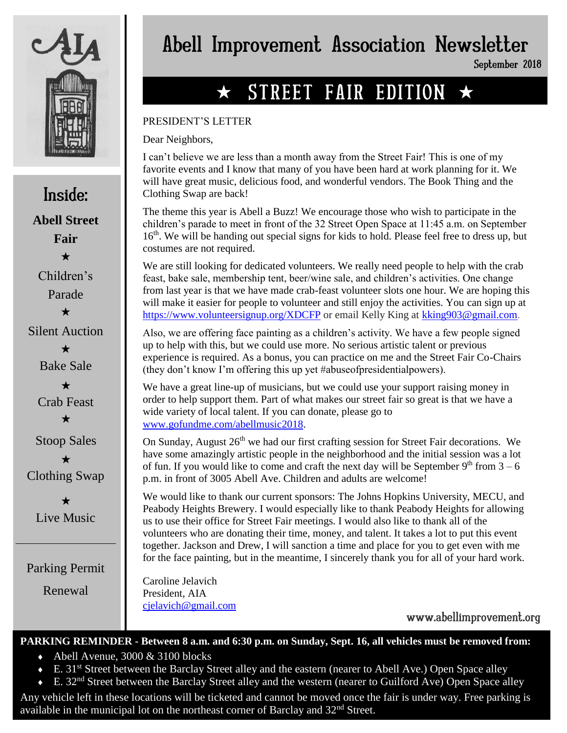

Inside: **Abell Street Fair**  $\bigstar$ Children's Parade  $\bigstar$ Silent Auction  $\bigstar$ Bake Sale  $\bigstar$ Crab Feast  $\bigstar$ Stoop Sales  $\star$ Clothing Swap

 $\star$ Live Music

Parking Permit

Renewal

# Abell Improvement Association Newsletter

September 2018

# $\star$  STREET FAIR EDITION  $\star$

### PRESIDENT'S LETTER

Dear Neighbors,

I can't believe we are less than a month away from the Street Fair! This is one of my favorite events and I know that many of you have been hard at work planning for it. We will have great music, delicious food, and wonderful vendors. The Book Thing and the Clothing Swap are back!

The theme this year is Abell a Buzz! We encourage those who wish to participate in the children's parade to meet in front of the 32 Street Open Space at 11:45 a.m. on September  $16<sup>th</sup>$ . We will be handing out special signs for kids to hold. Please feel free to dress up, but costumes are not required.

We are still looking for dedicated volunteers. We really need people to help with the crab feast, bake sale, membership tent, beer/wine sale, and children's activities. One change from last year is that we have made crab-feast volunteer slots one hour. We are hoping this will make it easier for people to volunteer and still enjoy the activities. You can sign up at <https://www.volunteersignup.org/XDCFP> or email Kelly King at [kking903@gmail.com.](mailto:kking903@gmail.com)

Also, we are offering face painting as a children's activity. We have a few people signed up to help with this, but we could use more. No serious artistic talent or previous experience is required. As a bonus, you can practice on me and the Street Fair Co-Chairs (they don't know I'm offering this up yet #abuseofpresidentialpowers).

We have a great line-up of musicians, but we could use your support raising money in order to help support them. Part of what makes our street fair so great is that we have a wide variety of local talent. If you can donate, please go to [www.gofundme.com/abellmusic2018.](http://www.gofundme.com/abellmusic2018)

On Sunday, August  $26<sup>th</sup>$  we had our first crafting session for Street Fair decorations. We have some amazingly artistic people in the neighborhood and the initial session was a lot of fun. If you would like to come and craft the next day will be September  $9<sup>th</sup>$  from  $3-6$ p.m. in front of 3005 Abell Ave. Children and adults are welcome!

We would like to thank our current sponsors: The Johns Hopkins University, MECU, and Peabody Heights Brewery. I would especially like to thank Peabody Heights for allowing us to use their office for Street Fair meetings. I would also like to thank all of the volunteers who are donating their time, money, and talent. It takes a lot to put this event together. Jackson and Drew, I will sanction a time and place for you to get even with me for the face painting, but in the meantime, I sincerely thank you for all of your hard work.

Caroline Jelavich President, AIA [cjelavich@gmail.com](mailto:cjelavich@gmail.com)

www.abellimprovement.org

## **PARKING REMINDER - Between 8 a.m. and 6:30 p.m. on Sunday, Sept. 16, all vehicles must be removed from:**

- $\leftrightarrow$  Abell Avenue, 3000 & 3100 blocks
- E. 31st Street between the Barclay Street alley and the eastern (nearer to Abell Ave.) Open Space alley
- $\div$  E. 32<sup>nd</sup> Street between the Barclay Street alley and the western (nearer to Guilford Ave) Open Space alley

Any vehicle left in these locations will be ticketed and cannot be moved once the fair is under way. Free parking is available in the municipal lot on the northeast corner of Barclay and  $32<sup>nd</sup>$  Street.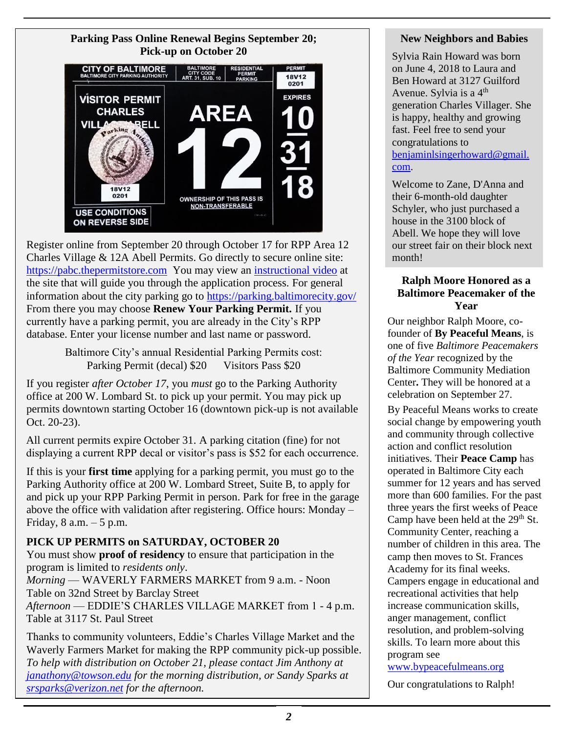### **Parking Pass Online Renewal Begins September 20; Pick-up on October 20**



Register online from September 20 through October 17 for RPP Area 12 Charles Village & 12A Abell Permits. Go directly to secure online site: [https://pabc.thepermitstore.com](https://pabc.thepermitstore.com/) You may view an [instructional video](https://www.youtube.com/watch?v=y2lDjh6Z0oc&feature=youtu.be) at the site that will guide you through the application process. For general information about the city parking go to<https://parking.baltimorecity.gov/> From there you may choose **Renew Your Parking Permit.** If you currently have a parking permit, you are already in the City's RPP database. Enter your license number and last name or password.

> Baltimore City's annual Residential Parking Permits cost: Parking Permit (decal) \$20 Visitors Pass \$20

If you register *after October 17*, you *must* go to the Parking Authority office at 200 W. Lombard St. to pick up your permit. You may pick up permits downtown starting October 16 (downtown pick-up is not available Oct. 20-23).

All current permits expire October 31. A parking citation (fine) for not displaying a current RPP decal or visitor's pass is \$52 for each occurrence.

If this is your **first time** applying for a parking permit, you must go to the Parking Authority office at 200 W. Lombard Street, Suite B, to apply for and pick up your RPP Parking Permit in person. Park for free in the garage above the office with validation after registering. Office hours: Monday – Friday,  $8$  a.m.  $-5$  p.m.

### **PICK UP PERMITS on SATURDAY, OCTOBER 20**

You must show **proof of residency** to ensure that participation in the program is limited to *residents only*.

*Morning* — WAVERLY FARMERS MARKET from 9 a.m. - Noon Table on 32nd Street by Barclay Street

*Afternoon* — EDDIE'S CHARLES VILLAGE MARKET from 1 - 4 p.m. Table at 3117 St. Paul Street

Thanks to community volunteers, Eddie's Charles Village Market and the Waverly Farmers Market for making the RPP community pick-up possible. *To help with distribution on October 21, please contact Jim Anthony at [janathony@towson.edu](mailto:janathony@towson.edu) for the morning distribution, or Sandy Sparks at [srsparks@verizon.net](mailto:srsparks@verizon.net) for the afternoon.*

### **New Neighbors and Babies**

Sylvia Rain Howard was born on June 4, 2018 to Laura and Ben Howard at 3127 Guilford Avenue. Sylvia is a  $4<sup>th</sup>$ generation Charles Villager. She is happy, healthy and growing fast. Feel free to send your congratulations to [benjaminlsingerhoward@gmail.](mailto:benjaminlsingerhoward@gmail.com) [com.](mailto:benjaminlsingerhoward@gmail.com)

Welcome to Zane, D'Anna and their 6-month-old daughter Schyler, who just purchased a house in the 3100 block of Abell. We hope they will love our street fair on their block next month!

### **Ralph Moore Honored as a Baltimore Peacemaker of the Year**

Our neighbor Ralph Moore, cofounder of **By Peaceful Means**, is one of five *Baltimore Peacemakers of the Year* recognized by the Baltimore Community Mediation Center**.** They will be honored at a celebration on September 27.

By Peaceful Means works to create social change by empowering youth and community through collective action and conflict resolution initiatives. Their **Peace Camp** has operated in Baltimore City each summer for 12 years and has served more than 600 families. For the past three years the first weeks of Peace Camp have been held at the  $29<sup>th</sup>$  St. Community Center, reaching a number of children in this area. The camp then moves to St. Frances Academy for its final weeks. Campers engage in educational and recreational activities that help increase communication skills, anger management, conflict resolution, and problem-solving skills. To learn more about this program see

[www.bypeacefulmeans.org](http://www.bypeacefulmeans.org/)

Our congratulations to Ralph!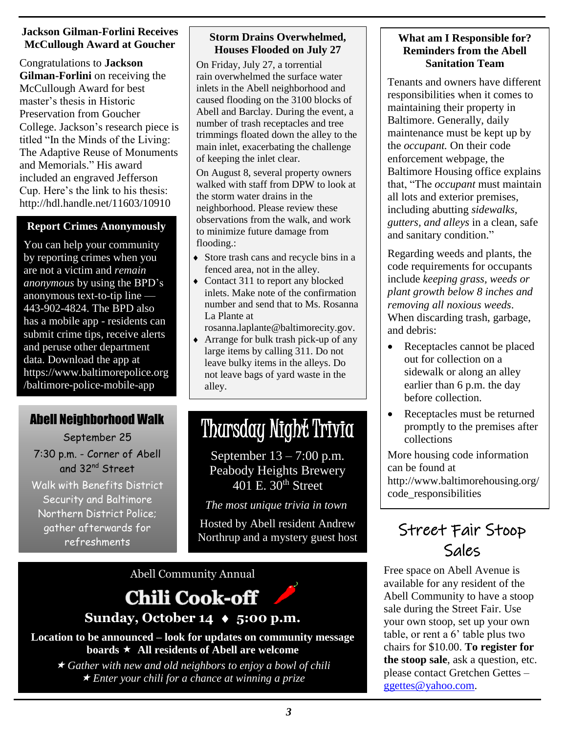### **Jackson Gilman-Forlini Receives McCullough Award at Goucher**

Congratulations to **Jackson Gilman-Forlini** on receiving the McCullough Award for best master's thesis in Historic Preservation from Goucher College. Jackson's research piece is titled "In the Minds of the Living: The Adaptive Reuse of Monuments and Memorials." His award included an engraved Jefferson Cup. Here's the link to his thesis: <http://hdl.handle.net/11603/10910>

### **Report Crimes Anonymously**

You can help your community by reporting crimes when you are not a victim and *remain anonymous* by using the BPD's anonymous text-to-tip line — 443-902-4824. The BPD also has a mobile app - residents can submit crime tips, receive alerts and peruse other department data. Download the app at https://www.baltimorepolice.org /baltimore-police-mobile-app

### Abell Neighborhood Walk

September 25

7:30 p.m. - Corner of Abell and 32nd Street

Walk with Benefits District Security and Baltimore Northern District Police; gather afterwards for refreshments

### **Storm Drains Overwhelmed, Houses Flooded on July 27**

On Friday, July 27, a torrential rain overwhelmed the surface water inlets in the Abell neighborhood and caused flooding on the 3100 blocks of Abell and Barclay. During the event, a number of trash receptacles and tree trimmings floated down the alley to the main inlet, exacerbating the challenge of keeping the inlet clear.

On August 8, several property owners walked with staff from DPW to look at the storm water drains in the neighborhood. Please review these observations from the walk, and work to minimize future damage from flooding.:

- Store trash cans and recycle bins in a fenced area, not in the alley.
- Contact 311 to report any blocked inlets. Make note of the confirmation number and send that to Ms. Rosanna La Plante at

[rosanna.laplante@baltimorecity.gov.](mailto:rosanna.laplante@baltimorecity.gov)

 Arrange for bulk trash pick-up of any large items by calling 311. Do not leave bulky items in the alleys. Do not leave bags of yard waste in the alley.

# Thursday Night Trivia

September 13 – 7:00 p.m. Peabody Heights Brewery 401 E. 30<sup>th</sup> Street

*The most unique trivia in town*

Hosted by Abell resident Andrew Northrup and a mystery guest host

Abell Community Annual



### **Sunday, October 14 ♦ 5:00 p.m.**

**Location to be announced – look for updates on community message boards All residents of Abell are welcome**

 *Gather with new and old neighbors to enjoy a bowl of chili Enter your chili for a chance at winning a prize*

### **What am I Responsible for? Reminders from the Abell Sanitation Team**

Tenants and owners have different responsibilities when it comes to maintaining their property in Baltimore. Generally, daily maintenance must be kept up by the *occupant.* On their code enforcement webpage, the Baltimore Housing office explains that, "The *occupant* must maintain all lots and exterior premises, including abutting *sidewalks, gutters, and alleys* in a clean, safe and sanitary condition."

Regarding weeds and plants, the code requirements for occupants include *keeping grass, weeds or plant growth below 8 inches and removing all noxious weeds*. When discarding trash, garbage, and debris:

- Receptacles cannot be placed out for collection on a sidewalk or along an alley earlier than 6 p.m. the day before collection.
- Receptacles must be returned promptly to the premises after collections

More housing code information can be found at http://www.baltimorehousing.org/ code\_responsibilities

# Street Fair Stoop Sales

Free space on Abell Avenue is available for any resident of the Abell Community to have a stoop sale during the Street Fair. Use your own stoop, set up your own table, or rent a 6' table plus two chairs for \$10.00. **To register for the stoop sale**, ask a question, etc. please contact Gretchen Gettes – [ggettes@yahoo.com.](mailto:ggettes@yahoo.com)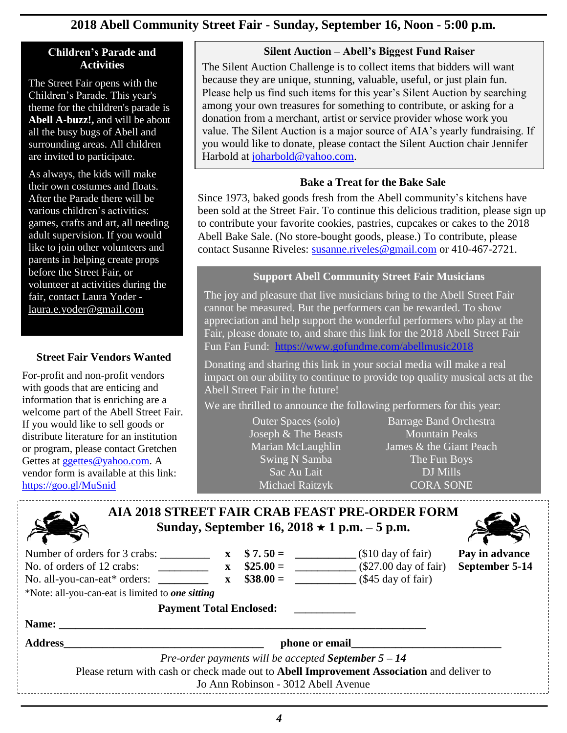### **2018 Abell Community Street Fair - Sunday, September 16, Noon - 5:00 p.m.**

### **Children's Parade and Activities**

The Street Fair opens with the Children's Parade. This year's theme for the children's parade is **Abell A-buzz!,** and will be about all the busy bugs of Abell and surrounding areas. All children are invited to participate.

As always, the kids will make their own costumes and floats. After the Parade there will be various children's activities: games, crafts and art, all needing adult supervision. If you would like to join other volunteers and parents in helping create props before the Street Fair, or volunteer at activities during the fair, contact Laura Yoder [laura.e.yoder@gmail.co](mailto:laura.e.yoder@gmail.com)m

### **Street Fair Vendors Wanted**

For-profit and non-profit vendors with goods that are enticing and information that is enriching are a welcome part of the Abell Street Fair. If you would like to sell goods or distribute literature for an institution or program, please contact Gretchen Gettes at [ggettes@yahoo.com.](mailto:ggettes@yahoo.com) A vendor form is available at this link: <https://goo.gl/MuSnid>

### **Silent Auction – Abell's Biggest Fund Raiser**

The Silent Auction Challenge is to collect items that bidders will want because they are unique, stunning, valuable, useful, or just plain fun. Please help us find such items for this year's Silent Auction by searching among your own treasures for something to contribute, or asking for a donation from a merchant, artist or service provider whose work you value. The Silent Auction is a major source of AIA's yearly fundraising. If you would like to donate, please contact the Silent Auction chair Jennifer Harbold at [joharbold@yahoo.com.](mailto:joharbold@yahoo.com?subject=street%20fair%20silent%20auction)

### **Bake a Treat for the Bake Sale**

Since 1973, baked goods fresh from the Abell community's kitchens have been sold at the Street Fair. To continue this delicious tradition, please sign up to contribute your favorite cookies, pastries, cupcakes or cakes to the 2018 Abell Bake Sale. (No store-bought goods, please.) To contribute, please contact Susanne Riveles: [susanne.riveles@gmail.com](mailto:susanne.riveles@gmail.com) or 410-467-2721.

### **Support Abell Community Street Fair Musicians**

The joy and pleasure that live musicians bring to the Abell Street Fair cannot be measured. But the performers can be rewarded. To show appreciation and help support the wonderful performers who play at the Fair, please donate to, and share this link for the 2018 Abell Street Fair Fun Fan Fund: <https://www.gofundme.com/abellmusic2018>

Donating and sharing this link in your social media will make a real impact on our ability to continue to provide top quality musical acts at the Abell Street Fair in the future!

We are thrilled to announce the following performers for this year:

[Outer Spaces](https://www.facebook.com/outerspacesband/?fref=mentions) (solo) [Joseph & The Beasts](https://www.facebook.com/JosephAndTheBeasts/?fref=mentions) [Marian McLaughlin](https://www.facebook.com/marian.mclaughlin.54?fref=mentions) Swing N Samba [Sac Au Lait](https://www.facebook.com/sacaulait/?fref=mentions) [Michael Raitzyk](https://www.facebook.com/michael.raitzyk?fref=mentions)

[Barrage Band Orchestra](https://www.facebook.com/BarrageBandOrchestra/?fref=mentions) [Mountain Peaks](https://www.facebook.com/mountainpeaksband/?fref=mentions) [James & the Giant Peach](https://www.facebook.com/jamesandthegiantfeet/?fref=mentions) The Fun [Boys](https://www.facebook.com/Thefunboys-1620126124984197/?fref=mentions) DJ Mills [CORA SONE](https://www.facebook.com/CoraSoneBand/?fref=mentions)

| <b>AIA 2018 STREET FAIR CRAB FEAST PRE-ORDER FORM</b><br>Sunday, September 16, 2018 $\star$ 1 p.m. – 5 p.m. |                |                                     |                                                                                           |                |  |  |  |  |
|-------------------------------------------------------------------------------------------------------------|----------------|-------------------------------------|-------------------------------------------------------------------------------------------|----------------|--|--|--|--|
| Number of orders for $3$ crabs: $\_\_\_\_\_\_\_\_\_\_\_\_\_$<br>No. of orders of 12 crabs:                  |                | $$7.50=$                            | $(\$10 \text{ day of fair})$                                                              | Pay in advance |  |  |  |  |
|                                                                                                             |                | $\$38.00 =$                         | $\angle$ (\$45 day of fair)                                                               | September 5-14 |  |  |  |  |
| *Note: all-you-can-eat is limited to one sitting                                                            |                |                                     |                                                                                           |                |  |  |  |  |
| <b>Payment Total Enclosed:</b>                                                                              |                |                                     |                                                                                           |                |  |  |  |  |
| Name:                                                                                                       |                |                                     |                                                                                           |                |  |  |  |  |
| <b>Address</b>                                                                                              | phone or email |                                     |                                                                                           |                |  |  |  |  |
| <i>Pre-order payments will be accepted September <math>5-14</math></i>                                      |                |                                     |                                                                                           |                |  |  |  |  |
|                                                                                                             |                | Jo Ann Robinson - 3012 Abell Avenue | Please return with cash or check made out to Abell Improvement Association and deliver to |                |  |  |  |  |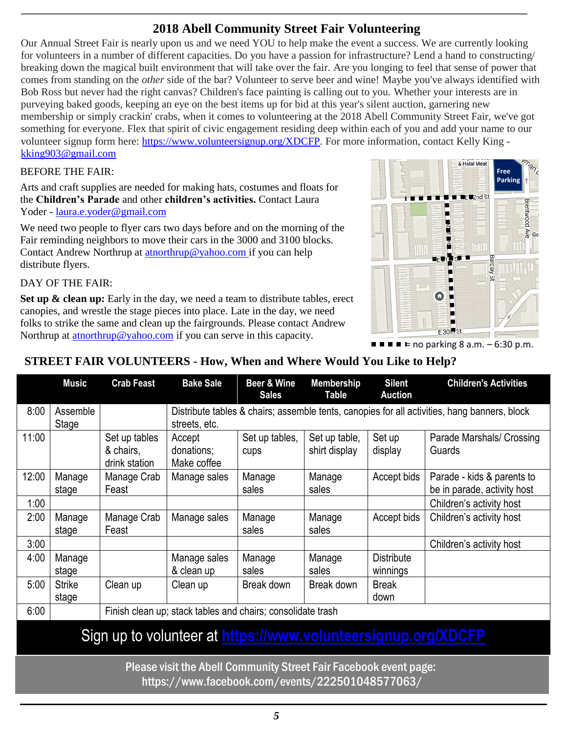### **2018 Abell Community Street Fair Volunteering**

Our Annual Street Fair is nearly upon us and we need YOU to help make the event a success. We are currently looking for volunteers in a number of different capacities. Do you have a passion for infrastructure? Lend a hand to constructing/ breaking down the magical built environment that will take over the fair. Are you longing to feel that sense of power that comes from standing on the *other* side of the bar? Volunteer to serve beer and wine! Maybe you've always identified with Bob Ross but never had the right canvas? Children's face painting is calling out to you. Whether your interests are in purveying baked goods, keeping an eye on the best items up for bid at this year's silent auction, garnering new membership or simply crackin' crabs, when it comes to volunteering at the 2018 Abell Community Street Fair, we've got something for everyone. Flex that spirit of civic engagement residing deep within each of you and add your name to our volunteer signup form here: [https://www.volunteersignup.org/XDCFP.](https://www.volunteersignup.org/XDCFP) For more information, contact Kelly King [kking903@gmail.com](mailto:kking903@gmail.com)

### BEFORE THE FAIR:

• Arts and craft supplies are needed for making hats, costumes and floats for the **Children's Parade** and other **children's activities.** Contact Laura Yoder - [laura.e.yoder@gmail.com](mailto:laura.e.yoder@gmail.com)

We need two people to flyer cars two days before and on the morning of the Fair reminding neighbors to move their cars in the 3000 and 3100 blocks. Contact Andrew Northrup at [atnorthrup@yahoo.com](mailto:atnorthrup@yahoo.com) if you can help distribute flyers.

#### DAY OF THE FAIR:

**Set up & clean up:** Early in the day, we need a team to distribute tables, erect canopies, and wrestle the stage pieces into place. Late in the day, we need folks to strike the same and clean up the fairgrounds. Please contact Andrew Northrup at **atnorthrup@yahoo.com** if you can serve in this capacity.



 $\blacksquare$   $\blacksquare$   $\blacksquare$  no parking 8 a.m.  $-$  6:30 p.m.

### **STREET FAIR VOLUNTEERS - How, When and Where Would You Like to Help?**

|                                                               | <b>Music</b>           | <b>Crab Feast</b>                                           | <b>Bake Sale</b>                                                                                              | Beer & Wine<br><b>Sales</b> | <b>Membership</b><br><b>Table</b> | <b>Silent</b><br><b>Auction</b> | <b>Children's Activities</b>                              |  |  |
|---------------------------------------------------------------|------------------------|-------------------------------------------------------------|---------------------------------------------------------------------------------------------------------------|-----------------------------|-----------------------------------|---------------------------------|-----------------------------------------------------------|--|--|
| 8:00                                                          | Assemble<br>Stage      |                                                             | Distribute tables & chairs; assemble tents, canopies for all activities, hang banners, block<br>streets, etc. |                             |                                   |                                 |                                                           |  |  |
| 11:00                                                         |                        | Set up tables<br>& chairs,<br>drink station                 | Accept<br>donations;<br>Make coffee                                                                           | Set up tables,<br>cups      | Set up table,<br>shirt display    | Set up<br>display               | Parade Marshals/ Crossing<br>Guards                       |  |  |
| 12:00                                                         | Manage<br>stage        | Manage Crab<br>Feast                                        | Manage sales                                                                                                  | Manage<br>sales             | Manage<br>sales                   | Accept bids                     | Parade - kids & parents to<br>be in parade, activity host |  |  |
| 1:00                                                          |                        |                                                             |                                                                                                               |                             |                                   |                                 | Children's activity host                                  |  |  |
| 2:00                                                          | Manage<br>stage        | Manage Crab<br>Feast                                        | Manage sales                                                                                                  | Manage<br>sales             | Manage<br>sales                   | Accept bids                     | Children's activity host                                  |  |  |
| 3:00                                                          |                        |                                                             |                                                                                                               |                             |                                   |                                 | Children's activity host                                  |  |  |
| 4:00                                                          | Manage<br>stage        |                                                             | Manage sales<br>& clean up                                                                                    | Manage<br>sales             | Manage<br>sales                   | <b>Distribute</b><br>winnings   |                                                           |  |  |
| 5:00                                                          | <b>Strike</b><br>stage | Clean up                                                    | Clean up                                                                                                      | Break down                  | Break down                        | <b>Break</b><br>down            |                                                           |  |  |
| 6:00                                                          |                        | Finish clean up; stack tables and chairs; consolidate trash |                                                                                                               |                             |                                   |                                 |                                                           |  |  |
| Sign up to volunteer at https://www.volunteersignup.org/XDCFP |                        |                                                             |                                                                                                               |                             |                                   |                                 |                                                           |  |  |

Please visit the Abell Community Street Fair Facebook event page: <https://www.facebook.com/events/222501048577063/>